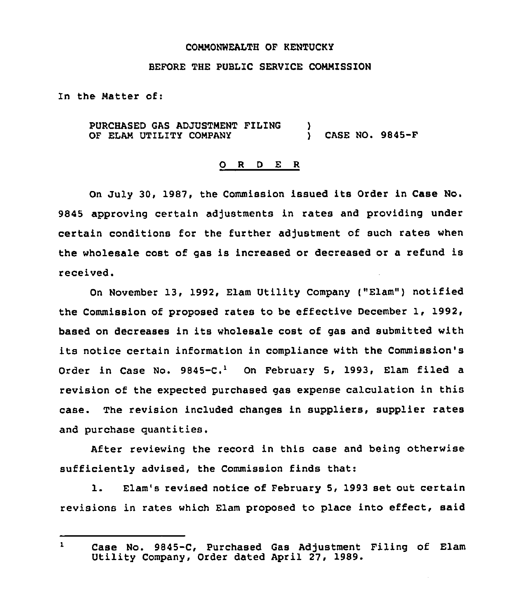## CONNONWEALTH OF KENTUCKY

## BEFORE THE PUBLIC SERVICE COMMISSION

In the Natter of:

PURCHASED GAS ADJUSTMENT FILING ) OF ELAM UTILITY COMPANY ) CASE NO. 9845-F

## 0 <sup>R</sup> <sup>D</sup> <sup>E</sup> <sup>R</sup>

On July 30, 1987, the Commission issued its Order in Case No. 9845 approving certain adjustments in rates and providing under certain conditions for the further adjustment of such rates when the wholesale cost of gas is increased or decreased or a refund is received.

On November 13, 1992, Elam Utility Company ("Elam") notified the Commission of proposed rates to be effective December 1, 1992, based on decreases in its wholesale cost of gas and submitted with its notice certain information in compliance with the Commission's Order in Case No.  $9845-C.<sup>1</sup>$  On February 5, 1993, Elam filed a revision of the expected purchased gas expense calculation in this case. The revision included changes in suppliers, supplier rates and purchase quantities.

After reviewing the record in this case and being otherwise sufficiently advised, the Commission finds that:

l. Elam's revised notice of February 5, <sup>1993</sup> set out certain revisions in rates which Elam proposed to place into effect, said

 $\mathbf{r}$ Case No. 9845-C, Purchased Gas Adjustment Filing of Elam Utility Company, Order dated April 27, 1989.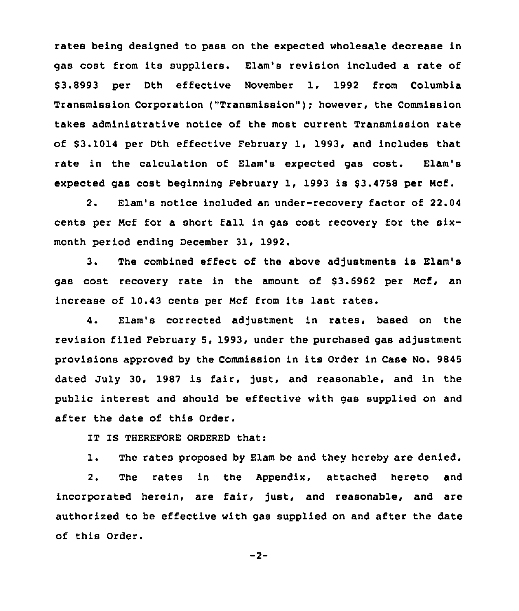rates being designed to pass on the expected wholesale decrease in gas cost from its suppliers. Elam's revision included a rate of \$ 3.8993 per Dth effective November 1, 1992 from Columbia Transmission Corporation ("Transmission" ); however, the Commission takes administrative notice of the most current Transmission rate of \$3.1014 per Dth effective February 1, 1993, and includes that rate in the calculation of Elam's expected gas cost. Elam's expected gas cost beginning February 1, 1993 is \$3.4758 per Mcf.

2. Elam's notice included an under-recovery factor of 22.04 cents per Ncf for a short fall in gas cost recovery for the sixmonth period ending December 31, 1992.

3. The combined effect of the above adjustments is Elam's gas cost recovery rate in the amount of \$3.6962 per Mcf, an increase of 10.43 cents per Ncf from its last rates.

4. Elam's corrected adjustment in rates, based on the revision filed February 5, 1993, under the purchased gas adjustment provisions approved by the Commission in its Order in Case No. 9845 dated July 30, 1987 is fair, just, and reasonable, and in the public interest and should be effective with gas supplied on and after the date of this Order.

IT IS THEREFORE ORDERED that:

1. The rates proposed by Elam be and they hereby are denied.

2. The rates in the Appendix, attached hereto and incorporated herein, are fair, just, and reasonable, and are authorized to be effective with gas supplied on and after the date of this Order.

 $-2-$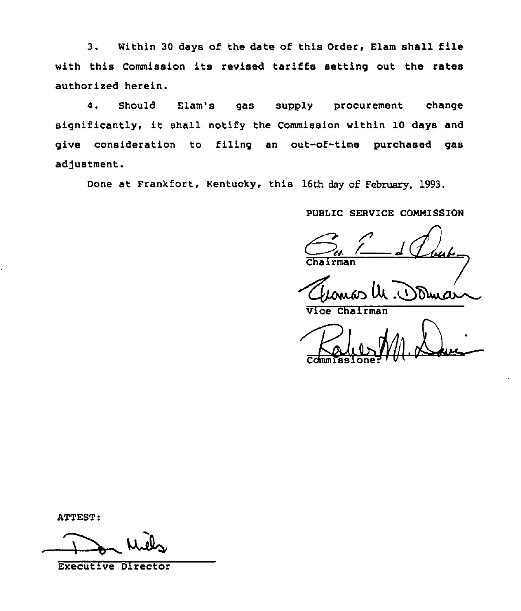3. Within <sup>30</sup> days of the date of this Order, Elam shall file with this Commission its revised tariffs setting out the rates authorized herein.

4. Should Elam's gas supply procurement change significantly, it shall notify the Commission within <sup>10</sup> days and give consideration to filing an out-of-time purchased gas adjustment.

Done at Frankfort, Kentucky, this 16th day of February, 1993.

PUBLIC SERVICE CONNISSION

Vice Chairman

Commissioner '

ATTEST:

ui4

Executive Director